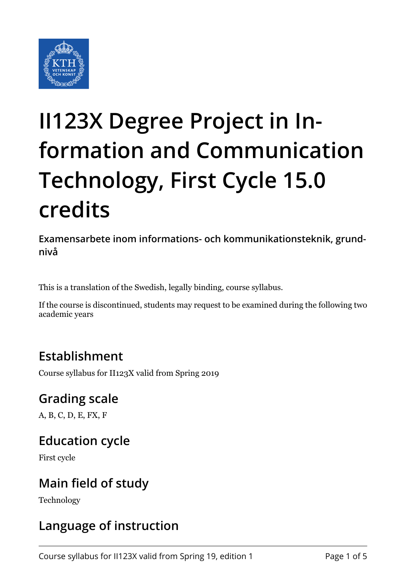

# **II123X Degree Project in Information and Communication Technology, First Cycle 15.0 credits**

**Examensarbete inom informations- och kommunikationsteknik, grundnivå**

This is a translation of the Swedish, legally binding, course syllabus.

If the course is discontinued, students may request to be examined during the following two academic years

### **Establishment**

Course syllabus for II123X valid from Spring 2019

### **Grading scale**

A, B, C, D, E, FX, F

#### **Education cycle**

First cycle

### **Main field of study**

Technology

### **Language of instruction**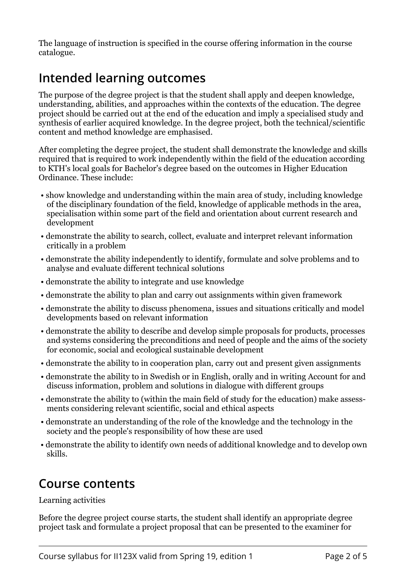The language of instruction is specified in the course offering information in the course catalogue.

#### **Intended learning outcomes**

The purpose of the degree project is that the student shall apply and deepen knowledge, understanding, abilities, and approaches within the contexts of the education. The degree project should be carried out at the end of the education and imply a specialised study and synthesis of earlier acquired knowledge. In the degree project, both the technical/scientific content and method knowledge are emphasised.

After completing the degree project, the student shall demonstrate the knowledge and skills required that is required to work independently within the field of the education according to KTH's local goals for Bachelor's degree based on the outcomes in Higher Education Ordinance. These include:

- show knowledge and understanding within the main area of study, including knowledge of the disciplinary foundation of the field, knowledge of applicable methods in the area, specialisation within some part of the field and orientation about current research and development
- demonstrate the ability to search, collect, evaluate and interpret relevant information critically in a problem
- demonstrate the ability independently to identify, formulate and solve problems and to analyse and evaluate different technical solutions
- demonstrate the ability to integrate and use knowledge
- demonstrate the ability to plan and carry out assignments within given framework
- demonstrate the ability to discuss phenomena, issues and situations critically and model developments based on relevant information
- demonstrate the ability to describe and develop simple proposals for products, processes and systems considering the preconditions and need of people and the aims of the society for economic, social and ecological sustainable development
- demonstrate the ability to in cooperation plan, carry out and present given assignments
- demonstrate the ability to in Swedish or in English, orally and in writing Account for and discuss information, problem and solutions in dialogue with different groups
- demonstrate the ability to (within the main field of study for the education) make assessments considering relevant scientific, social and ethical aspects
- demonstrate an understanding of the role of the knowledge and the technology in the society and the people's responsibility of how these are used
- demonstrate the ability to identify own needs of additional knowledge and to develop own skills.

#### **Course contents**

Learning activities

Before the degree project course starts, the student shall identify an appropriate degree project task and formulate a project proposal that can be presented to the examiner for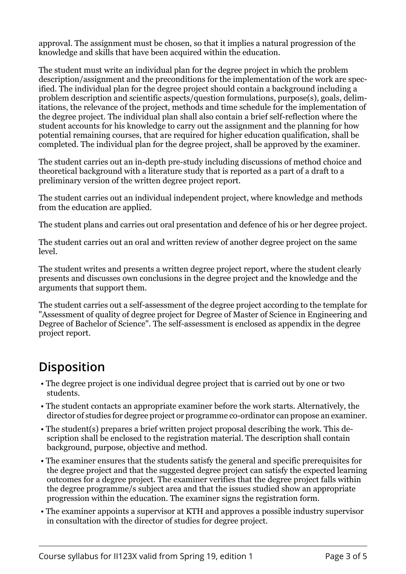approval. The assignment must be chosen, so that it implies a natural progression of the knowledge and skills that have been acquired within the education.

The student must write an individual plan for the degree project in which the problem description/assignment and the preconditions for the implementation of the work are specified. The individual plan for the degree project should contain a background including a problem description and scientific aspects/question formulations, purpose(s), goals, delimitations, the relevance of the project, methods and time schedule for the implementation of the degree project. The individual plan shall also contain a brief self-reflection where the student accounts for his knowledge to carry out the assignment and the planning for how potential remaining courses, that are required for higher education qualification, shall be completed. The individual plan for the degree project, shall be approved by the examiner.

The student carries out an in-depth pre-study including discussions of method choice and theoretical background with a literature study that is reported as a part of a draft to a preliminary version of the written degree project report.

The student carries out an individual independent project, where knowledge and methods from the education are applied.

The student plans and carries out oral presentation and defence of his or her degree project.

The student carries out an oral and written review of another degree project on the same level.

The student writes and presents a written degree project report, where the student clearly presents and discusses own conclusions in the degree project and the knowledge and the arguments that support them.

The student carries out a self-assessment of the degree project according to the template for "Assessment of quality of degree project for Degree of Master of Science in Engineering and Degree of Bachelor of Science". The self-assessment is enclosed as appendix in the degree project report.

### **Disposition**

- The degree project is one individual degree project that is carried out by one or two students.
- The student contacts an appropriate examiner before the work starts. Alternatively, the director of studies for degree project or programme co-ordinator can propose an examiner.
- The student(s) prepares a brief written project proposal describing the work. This description shall be enclosed to the registration material. The description shall contain background, purpose, objective and method.
- The examiner ensures that the students satisfy the general and specific prerequisites for the degree project and that the suggested degree project can satisfy the expected learning outcomes for a degree project. The examiner verifies that the degree project falls within the degree programme/s subject area and that the issues studied show an appropriate progression within the education. The examiner signs the registration form.
- The examiner appoints a supervisor at KTH and approves a possible industry supervisor in consultation with the director of studies for degree project.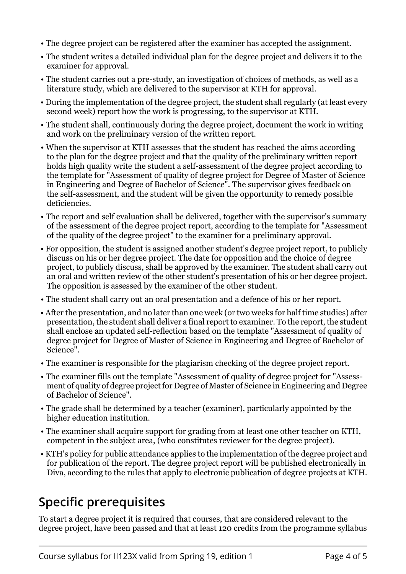- The degree project can be registered after the examiner has accepted the assignment.
- The student writes a detailed individual plan for the degree project and delivers it to the examiner for approval.
- The student carries out a pre-study, an investigation of choices of methods, as well as a literature study, which are delivered to the supervisor at KTH for approval.
- During the implementation of the degree project, the student shall regularly (at least every second week) report how the work is progressing, to the supervisor at KTH.
- The student shall, continuously during the degree project, document the work in writing and work on the preliminary version of the written report.
- When the supervisor at KTH assesses that the student has reached the aims according to the plan for the degree project and that the quality of the preliminary written report holds high quality write the student a self-assessment of the degree project according to the template for "Assessment of quality of degree project for Degree of Master of Science in Engineering and Degree of Bachelor of Science". The supervisor gives feedback on the self-assessment, and the student will be given the opportunity to remedy possible deficiencies.
- The report and self evaluation shall be delivered, together with the supervisor's summary of the assessment of the degree project report, according to the template for "Assessment of the quality of the degree project" to the examiner for a preliminary approval.
- For opposition, the student is assigned another student's degree project report, to publicly discuss on his or her degree project. The date for opposition and the choice of degree project, to publicly discuss, shall be approved by the examiner. The student shall carry out an oral and written review of the other student's presentation of his or her degree project. The opposition is assessed by the examiner of the other student.
- The student shall carry out an oral presentation and a defence of his or her report.
- After the presentation, and no later than one week (or two weeks for half time studies) after presentation, the student shall deliver a final report to examiner. To the report, the student shall enclose an updated self-reflection based on the template "Assessment of quality of degree project for Degree of Master of Science in Engineering and Degree of Bachelor of Science".
- The examiner is responsible for the plagiarism checking of the degree project report.
- The examiner fills out the template "Assessment of quality of degree project for "Assessment of quality of degree project for Degree of Master of Science in Engineering and Degree of Bachelor of Science".
- The grade shall be determined by a teacher (examiner), particularly appointed by the higher education institution.
- The examiner shall acquire support for grading from at least one other teacher on KTH, competent in the subject area, (who constitutes reviewer for the degree project).
- KTH's policy for public attendance applies to the implementation of the degree project and for publication of the report. The degree project report will be published electronically in Diva, according to the rules that apply to electronic publication of degree projects at KTH.

# **Specific prerequisites**

To start a degree project it is required that courses, that are considered relevant to the degree project, have been passed and that at least 120 credits from the programme syllabus